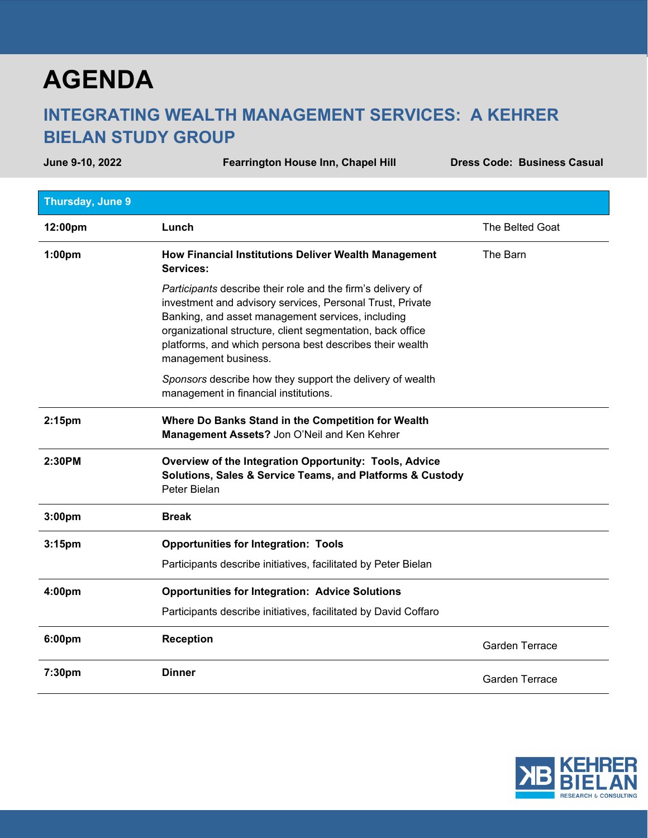## **AGENDA**

## **INTEGRATING WEALTH MANAGEMENT SERVICES: A KEHRER BIELAN STUDY GROUP**

June 9-10, 2022 **Fearrington House Inn, Chapel Hill Chapes** Code: Business Casual

| Thursday, June 9   |                                                                                                                                                                                                                                                                                                                                 |                       |
|--------------------|---------------------------------------------------------------------------------------------------------------------------------------------------------------------------------------------------------------------------------------------------------------------------------------------------------------------------------|-----------------------|
| 12:00pm            | Lunch                                                                                                                                                                                                                                                                                                                           | The Belted Goat       |
| 1:00 <sub>pm</sub> | How Financial Institutions Deliver Wealth Management<br>Services:                                                                                                                                                                                                                                                               | The Barn              |
|                    | Participants describe their role and the firm's delivery of<br>investment and advisory services, Personal Trust, Private<br>Banking, and asset management services, including<br>organizational structure, client segmentation, back office<br>platforms, and which persona best describes their wealth<br>management business. |                       |
|                    | Sponsors describe how they support the delivery of wealth<br>management in financial institutions.                                                                                                                                                                                                                              |                       |
| 2:15 <sub>pm</sub> | Where Do Banks Stand in the Competition for Wealth<br>Management Assets? Jon O'Neil and Ken Kehrer                                                                                                                                                                                                                              |                       |
| 2:30PM             | Overview of the Integration Opportunity: Tools, Advice<br>Solutions, Sales & Service Teams, and Platforms & Custody<br>Peter Bielan                                                                                                                                                                                             |                       |
| 3:00pm             | <b>Break</b>                                                                                                                                                                                                                                                                                                                    |                       |
| 3:15 <sub>pm</sub> | <b>Opportunities for Integration: Tools</b>                                                                                                                                                                                                                                                                                     |                       |
|                    | Participants describe initiatives, facilitated by Peter Bielan                                                                                                                                                                                                                                                                  |                       |
| 4:00pm             | <b>Opportunities for Integration: Advice Solutions</b>                                                                                                                                                                                                                                                                          |                       |
|                    | Participants describe initiatives, facilitated by David Coffaro                                                                                                                                                                                                                                                                 |                       |
| 6:00pm             | <b>Reception</b>                                                                                                                                                                                                                                                                                                                | <b>Garden Terrace</b> |
| 7:30pm             | <b>Dinner</b>                                                                                                                                                                                                                                                                                                                   | <b>Garden Terrace</b> |